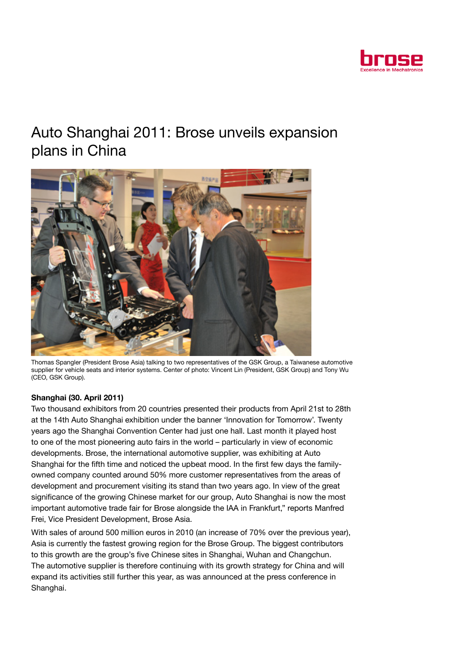

# Auto Shanghai 2011: Brose unveils expansion plans in China



Thomas Spangler (President Brose Asia) talking to two representatives of the GSK Group, a Taiwanese automotive supplier for vehicle seats and interior systems. Center of photo: Vincent Lin (President, GSK Group) and Tony Wu (CEO, GSK Group).

# Shanghai (30. April 2011)

Two thousand exhibitors from 20 countries presented their products from April 21st to 28th at the 14th Auto Shanghai exhibition under the banner 'Innovation for Tomorrow'. Twenty years ago the Shanghai Convention Center had just one hall. Last month it played host to one of the most pioneering auto fairs in the world – particularly in view of economic developments. Brose, the international automotive supplier, was exhibiting at Auto Shanghai for the fifth time and noticed the upbeat mood. In the first few days the familyowned company counted around 50% more customer representatives from the areas of development and procurement visiting its stand than two years ago. In view of the great significance of the growing Chinese market for our group, Auto Shanghai is now the most important automotive trade fair for Brose alongside the IAA in Frankfurt," reports Manfred Frei, Vice President Development, Brose Asia.

With sales of around 500 million euros in 2010 (an increase of 70% over the previous year), Asia is currently the fastest growing region for the Brose Group. The biggest contributors to this growth are the group's five Chinese sites in Shanghai, Wuhan and Changchun. The automotive supplier is therefore continuing with its growth strategy for China and will expand its activities still further this year, as was announced at the press conference in Shanghai.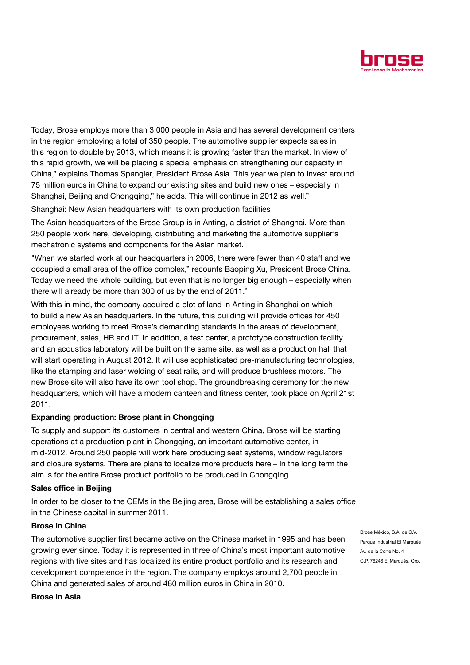

Today, Brose employs more than 3,000 people in Asia and has several development centers in the region employing a total of 350 people. The automotive supplier expects sales in this region to double by 2013, which means it is growing faster than the market. In view of this rapid growth, we will be placing a special emphasis on strengthening our capacity in China," explains Thomas Spangler, President Brose Asia. This year we plan to invest around 75 million euros in China to expand our existing sites and build new ones – especially in Shanghai, Beijing and Chongqing," he adds. This will continue in 2012 as well."

Shanghai: New Asian headquarters with its own production facilities

The Asian headquarters of the Brose Group is in Anting, a district of Shanghai. More than 250 people work here, developing, distributing and marketing the automotive supplier's mechatronic systems and components for the Asian market.

"When we started work at our headquarters in 2006, there were fewer than 40 staff and we occupied a small area of the office complex," recounts Baoping Xu, President Brose China. Today we need the whole building, but even that is no longer big enough – especially when there will already be more than 300 of us by the end of 2011."

With this in mind, the company acquired a plot of land in Anting in Shanghai on which to build a new Asian headquarters. In the future, this building will provide offices for 450 employees working to meet Brose's demanding standards in the areas of development, procurement, sales, HR and IT. In addition, a test center, a prototype construction facility and an acoustics laboratory will be built on the same site, as well as a production hall that will start operating in August 2012. It will use sophisticated pre-manufacturing technologies, like the stamping and laser welding of seat rails, and will produce brushless motors. The new Brose site will also have its own tool shop. The groundbreaking ceremony for the new headquarters, which will have a modern canteen and fitness center, took place on April 21st 2011.

#### Expanding production: Brose plant in Chongqing

To supply and support its customers in central and western China, Brose will be starting operations at a production plant in Chongqing, an important automotive center, in mid-2012. Around 250 people will work here producing seat systems, window regulators and closure systems. There are plans to localize more products here – in the long term the aim is for the entire Brose product portfolio to be produced in Chongqing.

#### Sales office in Beijing

In order to be closer to the OEMs in the Beijing area, Brose will be establishing a sales office in the Chinese capital in summer 2011.

## Brose in China

The automotive supplier first became active on the Chinese market in 1995 and has been growing ever since. Today it is represented in three of China's most important automotive regions with five sites and has localized its entire product portfolio and its research and development competence in the region. The company employs around 2,700 people in China and generated sales of around 480 million euros in China in 2010.

Brose México, S.A. de C.V. Parque Industrial El Marqués Av. de la Corte No. 4 C.P. 76246 El Marqués, Qro.

## Brose in Asia